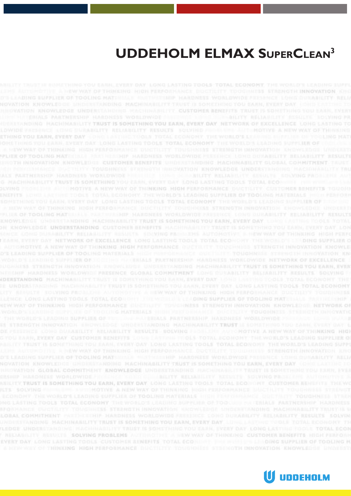# **UDDEHOLM ELMAX SUPERCLEAN3**

**INABILITY TRUST IS SOMETHING YOU EARN, EVERY DAY NETWORK OF EXCELLENCE** OU EARN, EVERY DAY LONG LASTING TOOLS TOTAL ECONOMY THE WORLD'S LEADING SUPPLIER O PELIER OF TOOLING MATERIALE FRANCISCHIP HARDNESS WORLDWIDE PRESENCE LONG DOMABLITY RELIABILITY RESULT TH INNOVATION, KNOWLEDGE, CUSTOMER BENEFITS URDERSTANDING MACHINABILITY GLOBAL COMMITMENT G. MACHINABILITY TRUST IS SOMETHING YOU EASH, EVERY DAY LOND LASTING TODLS TOTAL ECONOMIC THE SLYING MICHAELER ANTINOTIVE A NEW WAY OF THINKING HIGH FERFORMANCE DUCTILITY CUSTOMER BENEFITS TOUCH SOMETHING TOU EASH, EVERY DAY LONG LASTING TOOLS TOTAL ECONOMY THE WORLD'S LEADING SUPPLIER OF TILIUS OF TOOLING MATERIALE PARTHERMIP HARDNESS WORLDWIDE FREEDINGS LONG DURABILITY SELIABILITY RESULT KNOWLEDGE GROBESTANDING MACHINABILITY TRUST IS SOMETHING YOU EARN, EVERY DAY LOANT LASTING YOOLS TOTAL ON KNOWLEDGE UNDERSTANDING CUSTOMER BEMEFITS MACHINABILITY TRUST IS SOMETHING YOU EARN, EVERY OAY LOP TYRAY DAY NETWORK OF EXCELLENCE LONG LASTING TOOLS TOTAL ECONOMY THE WORLD'S LEADING SUPPLIER O OMOTIVE A NEW WAY OF THINKING HIGH PERFORMANCE OUCTILITY TOUCHHILLS STRENGTH INNOVATION KNOWLE ADDIO SUPPLIER OF TO CEING PROCESSAS PARTNERSHIP HARDWESS WORLDWIDE NETWORK OF EXCELLENCE ENGTH INNOVATION ENOWLEDGE UNDERFRADING MACHINABILITY TRUST IS SOMETHING YOU EARN, EVER HARDNESS WORLDWIDE PRESENCE GLOBAL CONNITHENT LONG DUNABLITY BELIABLITY BESULTS LONG LASTING TOOLS TOYAL ECONOMY THE WORLD IN CADING SUPPLIER OF TOOLING MAT INNOVATION ENOWLEDGE UNOESTANDING MACHINASILITY TRUST IS SOMETY E CONG DUNABILITY RELIABILITY RESULTS SOLVING FEDELLING AUTOROTIVE A NEW WAY OF THINKING HIGH ARR, EVERY DAY CUSTOMER RENEFITS LOUR LATTING ITIDLS TOTAL ECONOMY THE WORLD'S LEADING SUPPLIER O D'E LEADING SUPPLIER OF TOOLING MATERIALE WATERSTRIP HARDNESS WORLDWIDE PRESENCE LONG OU NOVATION KNOWLEDDE URDIOLITANOING RACHINABILITY TRUST IS SOMETHING TOU EARN, EVERY DAY NON GLOBAL COMMITMENT KNOWLEDGE UNDERSTANDING AMCHINAGILITY TRUST IS SOM HILITY TRUST IS SOMETHING YOU EARN, EVERY DAY LONG LASTING TOOLS TOTAL ECONO EVERY DAY LONG LASTING TOOLS CUSTOMER SENERTS TOTAL ECONOMY THE WINTERS A NINEWAY OF THREEDING REGILDERED MANCH DUCTIONY TOURNESS STRENGTH DIMOVATION KNOWLED

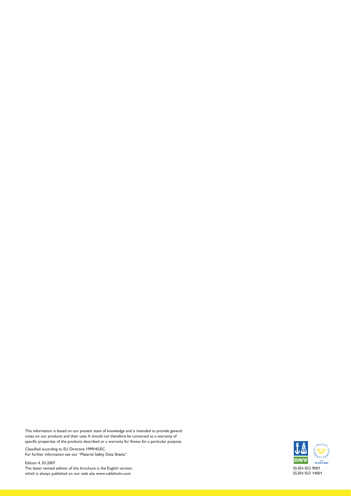This information is based on our present state of knowledge and is intended to provide general notes on our products and their uses. It should not therefore be construed as a warranty of specific properties of the products described or a warranty for fitness for a particular purpose.

Classified according to EU Directive 1999/45/EC For further information see our "Material Safety Data Sheets".

Edition 4, 03.2007 The latest revised edition of this brochure is the English version, which is always published on our web site www.uddeholm.com

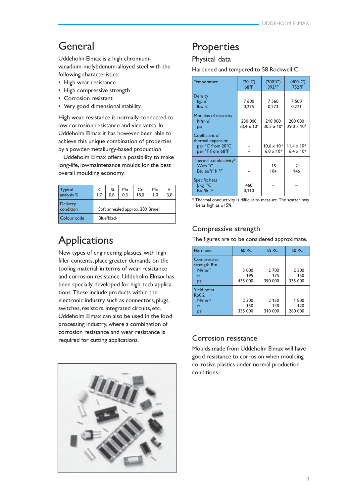# General

Uddeholm Elmax is a high chromiumvanadium-molybdenum-alloyed steel with the following characteristics:

- High wear resistance
- High compressive strength
- Corrosion resistant
- Very good dimensional stability.

High wear resistance is normally connected to low corrosion resistance and vice versa. In Uddeholm Elmax it has however been able to achieve this unique combination of properties by a powder-metallurgy-based production.

Uddeholm Elmax offers a possibility to make long-life, lowmaintenance moulds for the best overall moulding economy.

| <b>Typical</b><br>analysis % | C<br>1.7                          | Si<br>0.8  | Mn<br>0.3 | Cr<br>18.0 | Mo<br>1.0 | ν<br>3.0 |
|------------------------------|-----------------------------------|------------|-----------|------------|-----------|----------|
| <b>Delivery</b><br>condition | Soft annealed approx. 280 Brinell |            |           |            |           |          |
| Colour code                  |                                   | Blue/black |           |            |           |          |

# **Applications**

New types of engineering plastics, with high filler contents, place greater demands on the tooling material, in terms of wear resistance and corrosion resistance. Uddeholm Elmax has been specially developed for high-tech applications. These include products within the electronic industry such as connectors, plugs, switches, resistors, integrated circuits, etc. Uddeholm Elmax can also be used in the food processing industry, where a combination of corrosion resistance and wear resistance is required for cutting applications.



# Properties

# Physical data

Hardened and tempered to 58 Rockwell C.

| <b>Temperature</b>                                                          | $(20^{\circ}C)$<br>$68^{\circ}F$ | $(200^{\circ}C)$<br>392°F                     | $(400^{\circ}C)$<br>752°F                     |
|-----------------------------------------------------------------------------|----------------------------------|-----------------------------------------------|-----------------------------------------------|
| <b>Density</b><br>kg/m <sup>3</sup><br>lbs/in.                              | 7600<br>0.275                    | 7 5 6 0<br>0,273                              | 7 500<br>0.271                                |
| Modulus of elasticity<br>N/mm <sup>2</sup><br>psi                           | 230 000<br>$33,4 \times 10^{6}$  | 210 000<br>$30.5 \times 10^{6}$               | 200 000<br>$29.0 \times 10^{6}$               |
| Coefficient of<br>thermal expansion<br>per °C from 20°C<br>per °F from 68°F |                                  | $10,6 \times 10^{-6}$<br>$6.0 \times 10^{-6}$ | $11.4 \times 10^{-6}$<br>$6.4 \times 10^{-6}$ |
| Thermal conductivity*<br>W/m °C<br>Btu in/ft <sup>2</sup> h $\degree$ F     |                                  | 15<br>104                                     | 21<br>146                                     |
| Specific heat<br>$ $ /kg $^{\circ}$ C<br>Btu/lb °F                          | 460<br>0,110                     |                                               |                                               |

\* Thermal conductivity is difficult to measure. The scatter may be as high as  $\pm 15$ %.

# Compressive strength

The figures are to be considered approximate.

| <b>Hardness</b>                                               | 60 RC                     | <b>55 RC</b>              | <b>50 RC</b>            |
|---------------------------------------------------------------|---------------------------|---------------------------|-------------------------|
| Compressive<br>strength Rm<br>N/mm <sup>2</sup><br>tsi<br>psi | 3 0 0 0<br>195<br>435 000 | 2 700<br>175<br>390 000   | 2 300<br>150<br>335 000 |
| Yield point<br>Rp0,2<br>N/mm <sup>2</sup><br>tsi<br>psi       | 2 3 0 0<br>150<br>335 000 | 2 1 5 0<br>140<br>310 000 | 1800<br>120<br>260 000  |

# Corrosion resistance

Moulds made from Uddeholm Elmax will have good resistance to corrosion when moulding corrosive plastics under normal production conditions.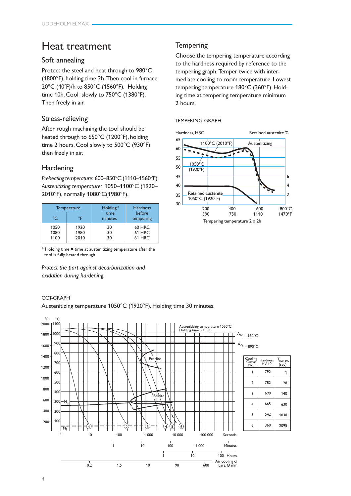# Heat treatment

# Soft annealing

Protect the steel and heat through to 980°C (1800°F), holding time 2h. Then cool in furnace 20°C (40°F)/h to 850°C (1560°F). Holding time 10h. Cool slowly to 750°C (1380°F). Then freely in air.

# Stress-relieving

After rough machining the tool should be heated through to 650°C (1200°F), holding time 2 hours. Cool slowly to 500°C (930°F) then freely in air.

# Hardening

*Preheating temperature:* 600–850°C (1110–1560°F). *Austenitizing temperature:* 1050–1100°C (1920– 2010°F), normally 1080°C(1980°F).

| $^{\circ}C$ | <b>Temperature</b><br>٥F | Holding*<br>time<br>minutes | <b>Hardness</b><br>before<br>tempering |
|-------------|--------------------------|-----------------------------|----------------------------------------|
| 1050        | 1920                     | 30                          | 60 HRC                                 |
| 1080        | 1980                     | 30                          | 61 HRC                                 |
| 1100        | 2010                     | 30                          | 61 HRC                                 |

\* Holding time = time at austenitizing temperature after the tool is fully heated through

*Protect the part against decarburization and oxidation during hardening.*

# CCT-GRAPH

Austenitizing temperature 1050°C (1920°F). Holding time 30 minutes.



# **Tempering**

Choose the tempering temperature according to the hardness required by reference to the tempering graph. Temper twice with intermediate cooling to room temperature. Lowest tempering temperature 180°C (360°F). Holding time at tempering temperature minimum 2 hours.

# TEMPERING GRAPH

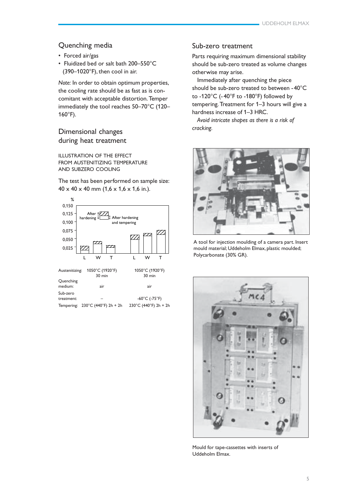# Quenching media

- Forced air/gas
- Fluidized bed or salt bath 200–550°C (390–1020°F), then cool in air.

*Note:* In order to obtain optimum properties, the cooling rate should be as fast as is concomitant with acceptable distortion. Temper immediately the tool reaches 50–70°C (120– 160°F).

# Dimensional changes during heat treatment

ILLUSTRATION OF THE EFFECT FROM AUSTENITIZING TEMPERATURE AND SUBZERO COOLING

The test has been performed on sample size:  $40 \times 40 \times 40$  mm  $(1,6 \times 1,6 \times 1,6$  in.).



# Sub-zero treatment

Parts requiring maximum dimensional stability should be sub-zero treated as volume changes otherwise may arise.

Immediately after quenching the piece should be sub-zero treated to between -40°C to -120°C (-40°F to -180°F) followed by tempering. Treatment for 1–3 hours will give a hardness increase of 1–3 HRC.

*Avoid intricate shapes as there is a risk of cracking.*



A tool for injection moulding of a camera part. Insert mould material; Uddeholm Elmax, plastic moulded;  $\overline{u}$  W T Polycarbonate (30% GR).



Mould for tape-cassettes with inserts of Uddeholm Elmax.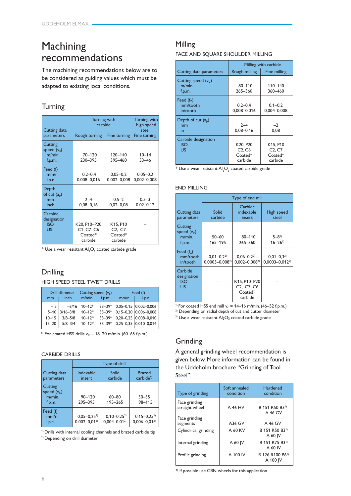# Machining recommendations

The machining recommendations below are to be considered as guiding values which must be adapted to existing local conditions.

# **Turning**

| Cutting data                                      | Turning with<br>carbide                           | Turning with<br>high speed<br>steel                                 |                                 |
|---------------------------------------------------|---------------------------------------------------|---------------------------------------------------------------------|---------------------------------|
| parameters                                        | Rough turning                                     | Fine turning                                                        | Fine turning                    |
| Cutting<br>speed $(v_c)$<br>$m/min$ .<br>f.p.m.   | 70-120<br>230-395                                 | 120-140<br>395-460                                                  | $10 - 14$<br>$33 - 46$          |
| Feed (f)<br>mm/r<br>i.p.r.                        | $0.2 - 0.4$<br>0,008-0,016                        | $0.05 - 0.2$<br>$0,002 - 0,008$                                     | $0,05 - 0,2$<br>$0,002 - 0,008$ |
| Depth<br>of cut $(a_{p})$<br>mm<br>inch           | $2 - 4$<br>$0,08 - 0,16$                          | $0.5 - 2$<br>$0,02 - 0,08$                                          | $0.5 - 3$<br>$0,02 - 0,12$      |
| Carbide<br>designation<br><b>ISO</b><br><b>US</b> | K20, P10-P20<br>$C2. C7-C6$<br>Coated*<br>carbide | K15, P10<br>C <sub>2</sub> , C <sub>7</sub><br>$Coated*$<br>carbide |                                 |

 $^{\ast}$  Use a wear resistant Al $_{2}$ O $_{3}$  coated carbide grade

# Drilling

HIGH SPEED STEEL TWIST DRILLS

|           | Drill diameter | Cutting speed $(v_c)$ |            |      | Feed (f)                       |
|-----------|----------------|-----------------------|------------|------|--------------------------------|
| mm        | inch           | $m/min$ .             | f.p.m.     | mm/r | i.p.r.                         |
| $-5$      | $-3/16$        | $10 - 12*$            | $33 - 39*$ |      | $0,05-0,15$ 0,002-0,006        |
| $5 - 10$  | $3/16 - 3/8$   | $10 - 12*$            |            |      | $33-39*$ 0,15-0,20 0,006-0,008 |
| $10 - 15$ | $3/8 - 5/8$    | $10 - 12*$            | $33 - 39*$ |      | $0,20 - 0,25$ 0,008-0,010      |
| $15 - 20$ | $5/8 - 3/4$    | $10 - 12*$            | $33 - 39*$ |      | $0.25 - 0.35$ 0.010 - 0.014    |
|           |                |                       |            |      |                                |

\* For coated HSS drills  $v_c$  = 18–20 m/min. (60–65 f.p.m.)

## CARBIDE DRILLS

|                                                 | Type of drill                           |                                       |                                         |  |
|-------------------------------------------------|-----------------------------------------|---------------------------------------|-----------------------------------------|--|
| Cutting data<br>parameters                      | Indexable<br>insert                     | Solid<br>carbide                      | <b>Brazed</b><br>carbide <sup>1</sup>   |  |
| Cutting<br>speed $(v_c)$<br>$m/min$ .<br>f.p.m. | 90-120<br>295-395                       | $60 - 80$<br>195-265                  | $30 - 35$<br>98-115                     |  |
| Feed (f)<br>mm/r<br>i.p.r.                      | $0,05 - 0,25^{2}$<br>$0.002 - 0.01^{2}$ | $0,10-0,25^{2}$<br>$0.004 - 0.01^{2}$ | $0,15 - 0,25^{2}$<br>$0.006 - 0.01^{2}$ |  |

<sup>1)</sup> Drills with internal cooling channels and brazed carbide tip <sup>2)</sup> Depending on drill diameter

# Milling

FACE AND SQUARE SHOULDER MILLING

|                                                | Milling with carbide                       |                                            |  |
|------------------------------------------------|--------------------------------------------|--------------------------------------------|--|
| Cutting data parameters                        | Rough milling                              | Fine milling                               |  |
| Cutting speed $(vc)$<br>$m/min$ .<br>f.p.m.    | $80 - 110$<br>$265 - 360$                  | 110-140<br>360 - 460                       |  |
| Feed $(fz)$<br>mm/tooth<br>in/tooth            | $0,2-0,4$<br>$0.008 - 0.016$               | $0,1-0,2$<br>0,004-0,008                   |  |
| Depth of cut $(a_{p})$<br>mm<br>in             | $2 - 4$<br>$0.08 - 0.16$                   | $-2$<br>0,08                               |  |
| Carbide designation<br><b>ISO</b><br><b>US</b> | K20, P20<br>C2, C6<br>$Coated*$<br>carbide | K15, P10<br>C2, C7<br>$Coated*$<br>carbide |  |

 $^\ast$  Use a wear resistant Al ${_{2} \rm{O}_{_{3}}}$  coated carbide grade

# END MILLING

|                                                 | Type of end mill                      |                                                                                                    |                                          |  |
|-------------------------------------------------|---------------------------------------|----------------------------------------------------------------------------------------------------|------------------------------------------|--|
| Cutting data<br>parameters                      | Solid<br>carbide                      | Carbide<br>indexable<br>insert                                                                     | High speed<br>steel                      |  |
| Cutting<br>speed $(v_c)$<br>$m/min$ .<br>f.p.m. | $50 - 60$<br>165-195                  | 80-110<br>$265 - 360$                                                                              | $5 - 81$<br>$16 - 26^{1}$                |  |
| Feed $(fz)$<br>mm/tooth<br>in/tooth             | $0.01 - 0.22$<br>$0.0003 - 0.008^{2}$ | $0.06 - 0.22$<br>$0,002 - 0,008^{2}$                                                               | $0.01 - 0.3^{2}$<br>$0.0003 - 0.012^{2}$ |  |
| Carbide<br>designation<br><b>ISO</b><br>US      |                                       | K15, P10-P20<br>C <sub>2</sub> , C <sub>7</sub> -C <sub>6</sub><br>$\text{Coated}^{3)}$<br>carbide |                                          |  |

<sup>1)</sup> For coated HSS end mill  $v_c = 14–16$  m/min. (46–52 f.p.m.)

<sup>2)</sup> Depending on radial depth of cut and cutter diameter

<sup>3)</sup> Use a wear resistant  $Al_2O_3$  coated carbide grade

# Grinding

A general grinding wheel recommendation is given below. More information can be found in the Uddeholm brochure "Grinding of Tool Steel".

| Type of grinding                | Soft annealed<br>condition | <b>Hardened</b><br>condition            |
|---------------------------------|----------------------------|-----------------------------------------|
| Face grinding<br>straight wheel | A 46 HV                    | B 151 R50 B3 <sup>1)</sup><br>A 46 GV   |
| Face grinding<br>segments       | A36 GV                     | A 46 GV                                 |
| Cylindrical grinding            | A 60 KV                    | B 151 R50 B3 <sup>1)</sup><br>A 60 IV   |
| Internal grinding               | A 60 IV                    | B 151 R75 B3 <sup>1)</sup><br>A 60 IV   |
| Profile grinding                | A 100 IV                   | B 126 R100 B6 <sup>1)</sup><br>A 100 IV |

 $1)$  If possible use CBN wheels for this application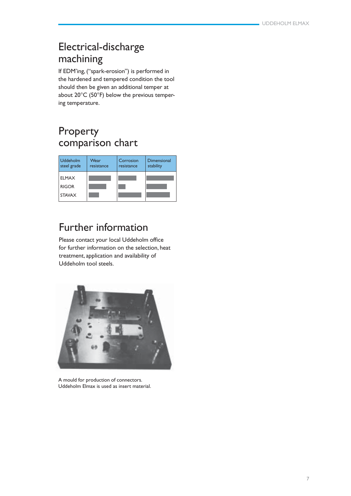# Electrical-discharge machining

If EDM'ing, ("spark-erosion") is performed in the hardened and tempered condition the tool should then be given an additional temper at about 20°C (50°F) below the previous tempering temperature.

# Property comparison chart

| <b>Uddeholm</b><br>steel grade | Wear<br>resistance | Corrosion<br>resistance | Dimensional<br>stability |
|--------------------------------|--------------------|-------------------------|--------------------------|
| <b>ELMAX</b>                   |                    |                         |                          |
| <b>RIGOR</b>                   |                    |                         |                          |
| <b>STAVAX</b>                  |                    |                         |                          |

# Further information

Please contact your local Uddeholm office for further information on the selection, heat treatment, application and availability of Uddeholm tool steels.



A mould for production of connectors. Uddeholm Elmax is used as insert material.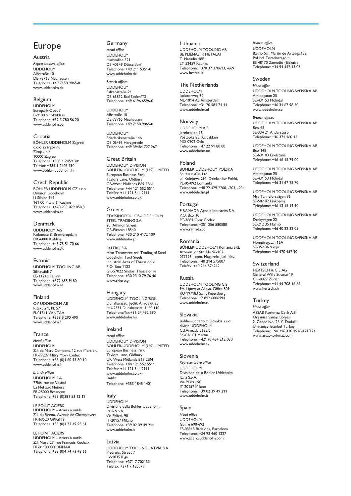# Europe

Austria *Representative office* UDDEHOLM Albstraße 10 DE-73765 Neuhausen Telephone: +49 7158 9865-0 www.uddeholm.de

UDDEHOLM ELMAX

#### Belgium

UDDEHOLM Europark Oost 7 B-9100 Sint-Niklaas Telephone: +32 3 780 56 20 www.uddeholm.be

Croatia BÖHLER UDDEHOLM Zagreb d.o.o za trgovinu Zitnjak b.b 10000 Zagreb Telephone: +385 1 2459 301 Telefax: +385 1 2406 790 www.bohler-uddeholm.hr

#### Czech Republic BÖHLER UDDEHOLM CZ s.r.o. Division Uddeholm

U Silnice 949 161 00 Praha 6, Ruzyne Telephone: +420 233 029 850,8 www.uddeholm.cz

## Denmark UDDEHOLM A/S Kokmose 8, Bramdrupdam DK-6000 Kolding Telephone: +45 75 51 70 66 www.uddeholm.dk

# Estonia

UDDEHOLM TOOLING AB Silikatsiidi 7 EE-11216 Tallinn Telephone: +372 655 9180 www.uddeholm.ee

# Finland

OY UDDEHOLM AB Ritakuja 1, PL 57 FI-01741 VANTAA Telephone: +358 9 290 490 www.uddeholm.fi

## France

*Head office* UDDEHOLM Z.I. de Mitry-Compans, 12 rue Mercier, FR-77297 Mitry Mory Cedex Telephone: +33 (0)1 60 93 80 10 www.uddeholm.fr

*Branch offices* UDDEHOLM S.A. 77bis, rue de Vesoul La Nef aux Métiers FR-25000 Besançon Telephone: +33 (0)381 53 12 19

LE POINT ACIERS UDDEHOLM - Aciers à outils Z.I. du Recou, Avenue de Champlevert FR-69520 GRIGNY Telephone: +33 (0)4 72 49 95 61

LE POINT ACIERS UDDEHOLM - Aciers à outils Z.I. Nord 27, rue François Rochaix FR-01100 OYONNAX Telephone: +33 (0)4 74 73 48 66

#### Germany *Head office* UDDEHOLM Hansaallee 321 DE-40549 Düsseldorf Telephone: +49 211 5351-0 www.uddeholm.de

*Branch offices* UDDEHOLM Falkenstraße 21 DE-65812 Bad Soden/TS Telephone: +49 6196 6596-0

UDDEHOLM Albstraße 10 DE-73765 Neuhausen Telephone: +49 7158 9865-0

UDDEHOLM Friederikenstraße 14b DE-06493 Harzgerode Telephone: +49 39484 727 267

Great Britain UDDEHOLM DIVISION BOHLER-UDDEHOLM (UK) LIMITED European Business Park Taylors Lane, Oldbury GB-West Midlands B69 2BN Telephone: +44 121 552 5511 Telefax: +44 121 544 2911 www.uddeholm.co.uk

#### Greece STASSINOPOULOS-UDDEHOLM STEEL TRADING S.A. 20, Athinon Street GR-Piraeus 18540 Telephone: +30 210 4172 109 www.uddeholm.gr

SKLERO S.A. Heat Treatment and Trading of Steel Uddeholm Tool Steels Industrial Area of Thessaloniki P.O. Box 1123 GR-57022 Sindos, Thessaloniki Telephone: +30 2310 79 76 46 www.sklero.gr

## Hungary

UDDEHOLM TOOLING/BOK Dunaharaszti, Jedlik Ányos út 25 HU-2331 Dunaharaszti 1. Pf. 110 Telephone/fax:+36 24 492 690 www.uddeholm.hu

### Ireland

*Head office:* UDDEHOLM DIVISION BOHLER-UDDEHOLM (UK) LIMITED European Business Park Taylors Lane, Oldbury UK-West Midlands B69 2BN Telephone: +44 121 552 5511 Telefax: +44 121 544 2911 www.uddeholm.co.uk *Dublin:* Telephone: +353 1845 1401

## Italy

UDDEHOLM Divisione della Bohler Uddeholm Italia S.p.A. Via Palizzi, 90 IT-20157 Milano Telephone: +39 02 39 49 211 www.uddeholm.it

Latvia UDDEHOLM TOOLING LATVIA SIA Piedrujas Street 7 LV-1035 Riga Telephone: +371 7 702133 Telefax: +371 7 185079

Lithuania UDDEHOLM TOOLING AB BE PLIENAS IR METALAI T. Masiulio 18B LT-52459 Kaunas Telephone: +370 37 370613, -669 www.besteel.lt

### The Netherlands UDDEHOLM

Isolatorweg 30 NL-1014 AS Amsterdam Telephone: +31 20 581 71 11 www.uddeholm.nl

## Norway

UDDEHOLM A/S Jernkroken 18 Postboks 85, Kalbakken NO-0902 Oslo Telephone: +47 22 91 80 00 www.uddeholm.no

## Poland

BOHLER UDDEHOLM POLSKA Sp. z.o.o./Co. Ltd. ul. Kolejowa 291, Dziekanów Polski, PL-05-092 Lomianki Telephone: +48 22 429 2260, -203, -204 www.uddeholm.pl

## Portugal

F RAMADA Aços e Industrias S.A. P.O. Box 10 PT-3881 Ovar Codex Telephone: +351 256 580580 www.ramada.pt

#### Romania

BÖHLER-UDDEHOLM Romania SRL Atomistilor Str. No 96-102 077125 - com. Magurele, Jud. Ilfov. Telephone: +40 214 575007 Telefax: +40 214 574212

## Russia

UDDEHOLM TOOLING CIS 9A, Lipovaya Alleya, Office 509 RU-197183 Saint Petersburg Telephone: +7 812 6006194 www.uddeholm.ru

## Slovakia

Bohler-Uddeholm Slovakia s.r.o. divizia UDDEHOLM Čsl.Armády 5622/5 SK-036 01 Martin Telephone: +421 (0)434 212 030 www.uddeholm.sk

# Slovenia

*Representative office* UDDEHOLM Divisione della Bohler Uddeholm Italia S.p.A. Via Palizzi, 90 IT-20157 Milano Telephone: +39 02 39 49 211 www.uddeholm.it

## Spain

*Head office* UDDEHOLM Guifré 690-692 ES-08918 Badalona, Barcelona Telephone: +34 93 460 1227 www.acerosuddeholm.com

#### *Branch office* UDDEHOLM Barrio San Martín de Arteaga,132 Pol.Ind. Torrelarragoiti ES-48170 Zamudio (Bizkaia) Telephone: +34 94 452 13 03

### Sweden

*Head office* UDDEHOLM TOOLING SVENSKA AB Aminogatan 25 SE-431 53 Mölndal Telephone: +46 31 67 98 50 www.uddeholm.se

*Branch offices* UDDEHOLM TOOLING SVENSKA AB Box 45 SE-334 21 Anderstorp Telephone: +46 371 160 15

UDDEHOLM TOOLING SVENSKA AB Box 148 SE-631 03 Eskilstuna Telephone: +46 16 15 79 00

UDDEHOLM TOOLING SVENSKA AB Aminogatan 25 SE-431 53 Mölndal Telephone: +46 31 67 98 70

UDDEHOLM TOOLING SVENSKA AB Nya Tanneforsvägen 96 SE-582 42 Linköping Telephone: +46 13 15 19 90

UDDEHOLM TOOLING SVENSKA AB Derbyvägen 22 SE-212 35 Malmö Telephone: +46 40 22 32 05

UDDEHOLM TOOLING SVENSKA AB Honnörsgatan 16A SE-352 36 Växjö Telephone: +46 470 457 90

#### Switzerland

HERTSCH & CIE AG General Wille Strasse 19 CH-8027 Zürich Telephone: +41 44 208 16 66 www.hertsch.ch

## **Turkey**

*Head office* ASSAB Korkmaz Celik A.S. Organize Sanayi Bölgesi 2. Cadde No: 26 Y. Dudullu Umraniye-Istanbul Turkey Telephone: +90 216 420 1926-121/124 www.assabkorkmaz.com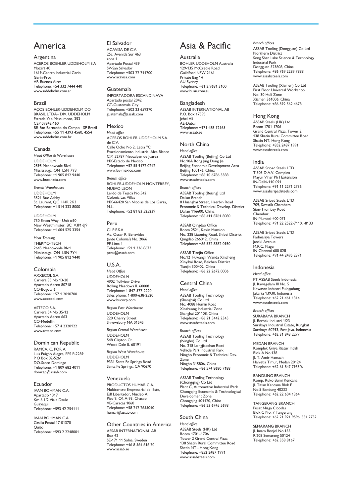# America

Argentina ACEROS BOEHLER UDDEHOLM S.A Mozart 40 1619-Centro Industrial Garin Garin-Prov. AR-Buenos Aires Telephone: +54 332 7444 440 www.uddeholm.com.ar

## Brazil

AÇOS BOHLER-UDDEHOLM DO BRASIL LTDA– DIV. UDDEHOLM Estrada Yae Massumoto, 353 CEP 09842-160 BR-Sao Bernardo do Campo - SP Brazil Telephone: +55 11 4393 4560, 4554 www.uddeholm.com.br

### Canada

*Head Office & Warehouse* UDDEHOLM 2595 Meadowvale Blvd. Mississauga, ON L5N 7Y3 Telephone: +1 905 812 9440 www.bucanada.com

*Branch Warehouses* UDDEHOLM 3521 Rue Ashby St. Laurent, QC H4R 2K3 Telephone: +1 514 333 8000

UDDEHOLM 730 Eaton Way - Unit #10 New Westminister, BC V3M 6J9 Telephone: +1 604 525 3354

*Heat Treating* THERMO-TECH 2645 Meadowvale Blvd. Mississauga, ON L5N 7Y4 Telephone: +1 905 812 9440

Colombia AXXECOL S.A. Carrera 35 No 13-20 Apartado Aereo 80718 CO-Bogota 6 Telephone: +57 1 2010700 www.axxecol.com

ASTECO S.A. Carrera 54 No 35-12 Apartado Aereo 663 CO-Medellin Telephone: +57 4 2320122 www.asteco.com

Dominican Republic

RAMCA, C. POR A. Luis Puigbó Alegre, EPS P-2289 P O Box 02-5261 DO-Santo Domingo Telephone: +1 809 682 4011 domrep@assab.com

Ecuador IVAN BOHMAN C.A. Apartado 1317 Km 6 1/2 Via a Daule Guayaquil Telephone: +593 42 254111

IVAN BOHMAN C.A. Casilla Postal 17-01370 **Ouito** Telephone: +593 2 2248001

## El Salvador ACAVISA DE C.V.

25a. Avenida Sur 463 zona 1 Apartado Postal 439 SV-San Salvador Telephone: +503 22 711700 www.acavisa.com

Guatemala IMPORTADORA ESCANDINAVA Apartado postal 2042 GT-Guatemala City Telephone: +502 23 659270 guatemala@assab.com

Mexico *Head office* ACEROS BOHLER UDDEHOLM S.A. de C.V. Calle Ocho No 2, Letra "C" Fraccionamiento Industrial Alce Blanco C.P. 52787 Naucalpan de Juarez MX-Estado de Mexico Telephone: +52 55 9172 0242 www.bu-mexico.com

*Branch office* BOHLER-UDDEHOLM MONTERREY, NUEVO LEON Lerdo de Tejada No.542 Colonia Las Villas MX-66420 San Nicolas de Los Garza, N.L.

Telephone: +52 81 83 525239

Peru C.I.P.E.S.A Av. Oscar R. Benavides (ante Colonial) No. 2066 PE-Lima 1 Telephone: +51 1 336 8673 peru@assab.com

U.S.A. *Head Office* UDDEHOLM 4902 Tollview Drive Rolling Meadows IL 60008 Telephone: 1-847-577-2220 Sales phone: 1-800-638-2520 www.bucorp.com

*Region East Warehouse* UDDEHOLM 220 Cherry Street Shrewsbury MA 01545

*Region Central Warehouse* UDDEHOLM 548 Clayton Ct. Wood Dale IL 60191

*Region West Warehouse* UDDEHOLM 9331 Santa Fe Springs Road Santa Fe Springs, CA 90670

## Venezuela

PRODUCTOS HUMAR C.A. Multicentro Empresarial del Este, Edf Libertador, Núcleo A. Piso 9, Of. A-93, Chacao VE-Caracas 1060 Telephone: +58 212 2655040 humar@assab.com

Other Countries in America ASSAB INTERNATIONAL AB Box 42 SE-171 11 Solna, Sweden Telephone: +46 8 564 616 70 www.assab.se

# Asia & Pacific

Australia BOHLER UDDEHOLM Australia 129-135 McCredie Road Guildford NSW 2161 Private Bag 14 AU-Sydney Telephone: +61 2 9681 3100 www.buau.com.au

Bangladesh ASSAB INTERNATIONAL AB P.O. Box 17595 Jebel Ali AE-Dubai Telephone: +971 488 12165 www.assab.se

North China *Head office* ASSAB Tooling (Beijing) Co Ltd No.10A Rong Jing Dong Jie Beijing Economic Development Area Beijing 100176, China Telephone: +86 10 6786 5588 www.assabsteels.com

*Branch offices* ASSAB Tooling (Beijing) Ltd Dalian Branch 8 Huanghai Street, Haerbin Road Economic & Technical Develop. District Dalian 116600, China Telephone: +86 411 8761 8080

ASSAB Qingdao Office Room 2521, Kexin Mansion No. 228 Liaoning Road, Shibei District Qingdao 266012, China Telephone: +86 532 8382 0930

ASSAB Tianjin Office No.12 Puwangli Wanda Xincheng Xinyibai Road, Beichen District Tianjin 300402, China Telephone: +86 22 2672 0006

Central China *Head office* ASSAB Tooling Technology (Shanghai) Co Ltd No. 4088 Humin Road Xinzhuang Industrial Zone Shanghai 201108, China Telephone: +86 21 5442 2345 www.assabsteels.com

*Branch offices* ASSAB Tooling Technology (Ningbo) Co Ltd No. 218 Longjiaoshan Road Vehicle Part Industrial Park Ningbo Economic & Technical Dev. Zone Ningbo 315806, China Telephone: +86 574 8680 7188

ASSAB Tooling Technology (Chongqing) Co Ltd Plant C, Automotive Industrial lPark Chongqing Economic & Technological Development Zone Chongqing 401120, China Telephone: +86 23 6745 5698

## South China

*Head office* ASSAB Steels (HK) Ltd Room 1701–1706 Tower 2 Grand Central Plaza 138 Shatin Rural Committee Road Shatin NT - Hong Kong Telephone: +852 2487 1991 www.assabsteels.com

*Branch offices* ASSAB Tooling (Dongguan) Co Ltd Northern District Song Shan Lake Science & Technology Industrial Park Dongguan 523808, China Telephone: +86 769 2289 7888 www.assabsteels.com

UDDEHOLM ELMAX

ASSAB Tooling (Xiamen) Co Ltd First Floor Universal Workshop No. 30 Huli Zone Xiamen 361006, China Telephone: +86 592 562 4678

Hong Kong

ASSAB Steels (HK) Ltd Room 1701-1706 Grand Central Plaza, Tower 2 138 Shatin Rural Committee Road Shatin NT, Hong Kong Telephone: +852 2487 1991 www.assabsteels.com

#### India

ASSAB Sripad Steels LTD T 303 D.A.V. Complex Mayur Vihar Ph I Extension IN-Delhi-110 091 Telephone: +91 11 2271 2736 www.assabsripadsteels.com

ASSAB Sripad Steels LTD 709, Swastik Chambers Sion-Trombay Road Chembur IN-Mumbai-400 071 Telephone: +91 22 2522-7110, -8133

ASSAB Sripad Steels LTD Padmalaya Towers Janaki Avenue M.R.C. Nagar IN-Chennai-600 028 Telephone: +91 44 2495 2371

Indonesia

*Head office* PT ASSAB Steels Indonesia Jl. Rawagelam III No. 5 Kawasan Industri Pulogadung Jakarta 13930, Indonesia Telephone: +62 21 461 1314 www.assabsteels.com

*Branch offices* SURABAYA BRANCH Jl. Berbek Industri 1/23 Surabaya Industrial Estate, Rungkut Surabaya 60293, East Java, Indonesia Telephone: +62 31 843 2277

MEDAN BRANCH Komplek Griya Riatur Indah Blok A No.138 Jl. T. Amir Hamzah Halvetia Timur, Medan 20124 Telephone: +62 61 847 7935/6

BANDUNG BRANCH Komp. Ruko Bumi Kencana Jl. Titian Kencana Blok E No.5 Bandung 40233 Telephone: +62 22 604 1364

TANGERANG BRANCH Pusat Niaga Cibodas Blok C No. 7 Tangerang Telephone: +62 21 921 9596, 551 2732

SEMARANG BRANCH Jl. Imam Bonjol No.155 R.208 Semarang 50124 Telephone: +62 358 8167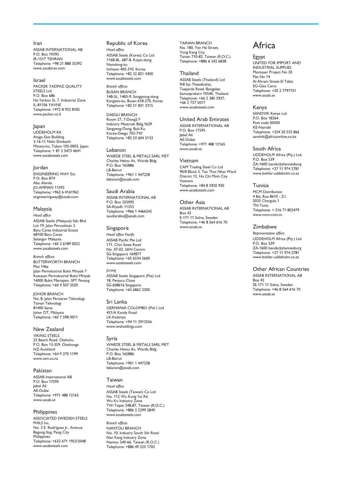Iran ASSAB INTERNATIONAL AB P.O. Box 19395 IR-1517 TEHRAN Telephone: +98 21 888 35392 www.assabiran.com

UDDEHOLM ELMAX

#### Israel PACKER YADPAZ QUALITY STEELS Ltd P.O. Box 686 Ha-Yarkon St. 7, Industrial Zone IL-81106 YAVNE Telephone: +972 8 932 8182 www.packer.co.il

Japan UDDEHOLM KK Atago East Building 3-16-11 Nishi Shinbashi Minato-ku, Tokyo 105-0003, Japan Telephone: + 81 3 5473 4641 www.assabsteels.com

#### Jordan ENGINEERING WAY Est. P.O. Box 874 Abu Alanda JO-AMMAN 11592 Telephone: +962 6 4161962 engineeringway@assab.com

Malaysia *Head office* ASSAB Steels (Malaysia) Sdn Bhd Lot 19, Jalan Perusahaan 2 Batu Caves Industrial Estate 68100 Batu Caves Selangor Malaysia Telephone: +60 3 6189 0022 www.assabsteels.com

*Branch offices* BUTTERWORTH BRANCH Plot 146a Jalan Perindustrial Bukit Minyak 7 Kawasan Perindustrial Bukit Minyak 14000 Bukit Mertajam, SPT Penang Telephone: +60 4 507 2020

JOHOR BRANCH No. 8, Jalan Persiaran Teknologi Taman Teknologi 81400 Senai Johor DT, Malaysia Telephone: +60 7 598 0011

New Zealand VIKING STEELS 25 Beach Road, Otahuhu P.O. Box 13-359, Onehunga NZ-Auckland Telephone: +64 9 270 1199 www.ssm.co.nz

## Pakistan

ASSAB International AB P.O. Box 17595 Jebel Ali AE-Dubai Telephone: +971 488 12165 www.assab.se

### Philippines

ASSOCIATED SWEDISH STEELS PHILS Inc. No. 3 E. Rodriguez Jr., Avenue Bagong Ilog, Pasig City **Philippines** Telephone: +632 671 1953/2048 www.assabsteels.com

Republic of Korea *Head office* ASSAB Steels (Korea) Co Ltd 116B-8L, 687-8, Kojan-dong Namdong-ku Incheon 405-310, Korea Telephone: +82 32 821 4300 www.assabsteels.com

*Branch offices* BUSAN BRANCH 14B-5L, 1483-9, Songjeong-dong Kangseo-ku, Busan 618-270, Korea Telephone: +82 51 831 3315

DAEGU BRANCH Room 27, 7-Dong2 F Industry Materials Bldg.1629 Sangyeog-Dong, Buk-Ku Korea-Daegu 702-710 Telephone: +82 53 604 5133

Lebanon WARDE STEEL & METALS SARL MET Charles Helou Av, Warde Bldg P.O. Box 165886 LB-Beirut Telephone: +961 1 447228 lebanon@assab.com

Saudi Arabia ASSAB INTERNATIONAL AB P.O. Box 255092 SA-Riyadh 11353 Telephone: +966 1 4466542 saudiarabia@assab.com

Singapore *Head office Pacific* ASSAB Pacific Pte Ltd 171, Chin Swee Road No. 07-02, SAN Centre SG-Singapore 169877 Telephone: +65 6534 5600 www.assabsteels.com *Jurong* ASSAB Steels Singapore (Pte) Ltd 18, Penjuru Close SG-608616 Singapore Telephone: +65 6862 2200

Sri Lanka GERMANIA COLOMBO (Ptd ) Ltd 451/A Kandy Road LK-Kelaniya Telephone: +94 11 2913556 www.iwsholdings.com

Syria WARDE STEEL & METALS SARL MET Charles Helou Av, Warde Bldg P.O. Box 165886

LB-Beirut Telephone: +961 1 447228 lebanon@assab.com

## Taiwan

*Head office* ASSAB Steels (Taiwan) Co Ltd No. 112 Wu Kung 1st Rd. Wu Ku Industry Zone TW-Taipei 248-87, Taiwan (R.O.C.) Telephone: +886 2 2299 2849 www.assabsteels.com

*Branch offices* NANTOU BRANCH No. 10, Industry South 5th Road Nan Kang Industry Zone Nantou 540-66, Taiwan (R.O.C.) Telephone: +886 49 225 1702

TAINAN BRANCH No. 180, Yen He Street, Yong Kang City Tainan 710-82, Taiwan (R.O.C.) Telephone: +886 6 242 6838

## Thailand

ASSAB Steels (Thailand) Ltd 9/8 Soi Theedinthai, Taeparak Road, Bangplee, Samutprakarn 10540, Thailand Telephone: +66 2 385 5937, +66 2 757 5017 www.assabsteels.com

### United Arab Emirates

ASSAB INTERNATIONAL AB P.O. Box 17595 Jebel Ali AE-Dubai Telephone: +971 488 12165 www.assab.se

#### Vietnam

CAM Trading Steel Co Ltd 90/8 Block 5, Tan Thoi Nhat Ward District 12, Ho Chi Minh City Vietnam Telephone: +84 8 5920 920 www.assabsteels.com

Other Asia ASSAB INTERNATIONAL AB Box 42 E-171 11 Solna, Sweden Telephone: +46 8 564 616 70 www.assab.se

# Africa

Egypt UNITED FOR IMPORT AND INDUSTRIAL SUPPLIES Montaser Project No 20 Flat No 14 Al Ahram Street-El Tabia EG-Giza Cairo Telephone: +20 2 7797751 www.assab.se

#### Kenya

SANDVIK Kenya Ltd P.O. Box 18264 Post code 00500 KE-Nairobi Telephone: +254 20 532 866 sandvik@africaonline.co.ke

#### South Africa

UDDEHOLM Africa (Pty.) Ltd. P.O. Box 539 ZA-1600 Isando/Johannesburg Telephone: +27 11 974 2781 www.bohler-uddeholm.co.za

## Tunisia

MCM Distribution 4 Bis, Rue 8610 - Z.I. 2035 Chargula 1 TN-Tunis Telephone: + 216 71 802479 www.mcm.com.tn

### Zimbabwe

*Representative office:* UDDEHOLM Africa (Pty.) Ltd. P.O. Box 539 ZA-1600 Isando/Johannesburg Telephone: +27 11 974 2781 www.bohler-uddeholm.co.za

Other African Countries ASSAB INTERNATIONAL AB Box 42 SE-171 11 Solna, Sweden Telephone: +46 8 564 616 70 www.assab.se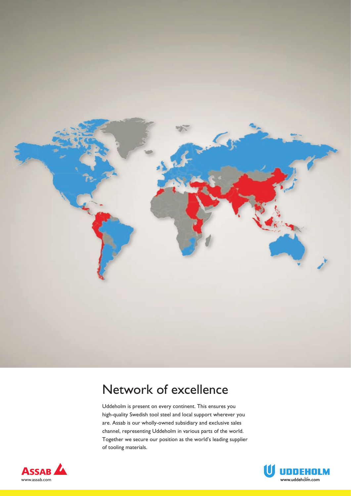

# Network of excellence

Uddeholm is present on every continent. This ensures you high-quality Swedish tool steel and local support wherever you are. Assab is our wholly-owned subsidiary and exclusive sales channel, representing Uddeholm in various parts of the world. Together we secure our position as the world's leading supplier of tooling materials.